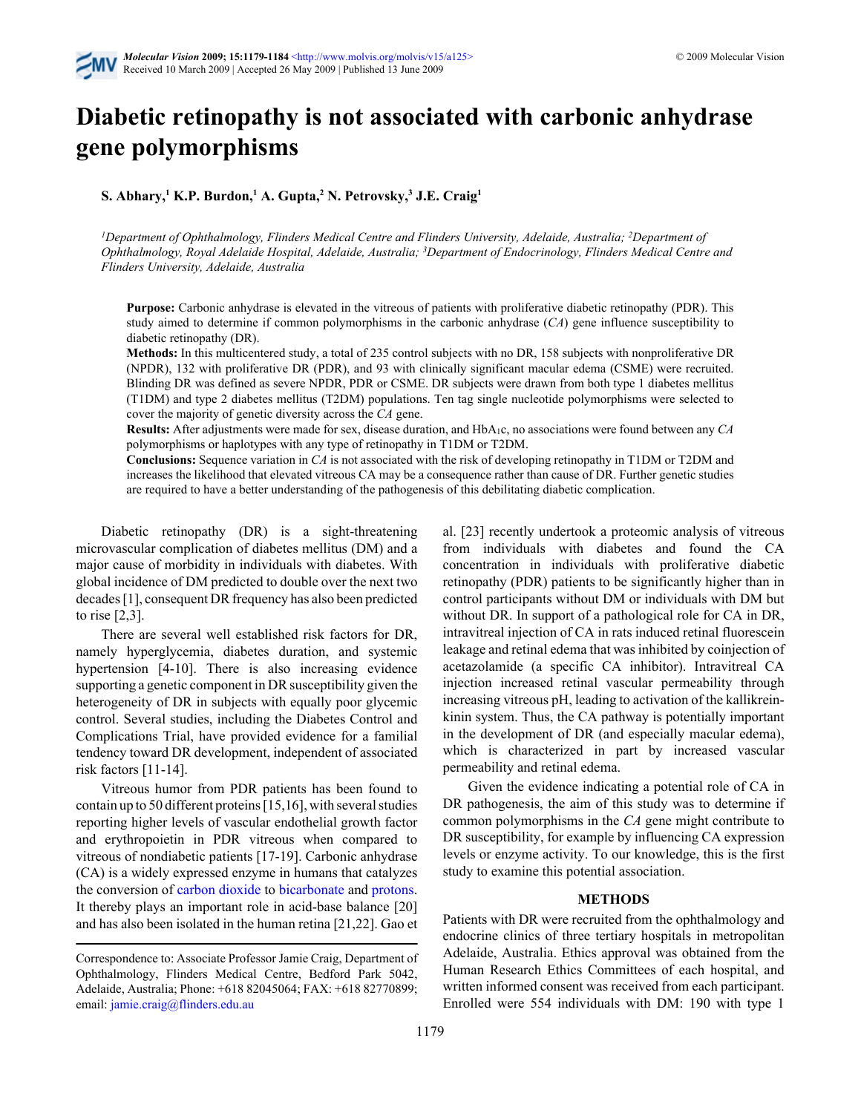

# **Diabetic retinopathy is not associated with carbonic anhydrase gene polymorphisms**

**S. Abhary,<sup>1</sup> K.P. Burdon,<sup>1</sup> A. Gupta,<sup>2</sup> N. Petrovsky,<sup>3</sup> J.E. Craig<sup>1</sup>**

*<sup>1</sup>Department of Ophthalmology, Flinders Medical Centre and Flinders University, Adelaide, Australia; <sup>2</sup>Department of Ophthalmology, Royal Adelaide Hospital, Adelaide, Australia; <sup>3</sup>Department of Endocrinology, Flinders Medical Centre and Flinders University, Adelaide, Australia*

**Purpose:** Carbonic anhydrase is elevated in the vitreous of patients with proliferative diabetic retinopathy (PDR). This study aimed to determine if common polymorphisms in the carbonic anhydrase (*CA*) gene influence susceptibility to diabetic retinopathy (DR).

**Methods:** In this multicentered study, a total of 235 control subjects with no DR, 158 subjects with nonproliferative DR (NPDR), 132 with proliferative DR (PDR), and 93 with clinically significant macular edema (CSME) were recruited. Blinding DR was defined as severe NPDR, PDR or CSME. DR subjects were drawn from both type 1 diabetes mellitus (T1DM) and type 2 diabetes mellitus (T2DM) populations. Ten tag single nucleotide polymorphisms were selected to cover the majority of genetic diversity across the *CA* gene.

**Results:** After adjustments were made for sex, disease duration, and HbA1c, no associations were found between any *CA* polymorphisms or haplotypes with any type of retinopathy in T1DM or T2DM.

**Conclusions:** Sequence variation in *CA* is not associated with the risk of developing retinopathy in T1DM or T2DM and increases the likelihood that elevated vitreous CA may be a consequence rather than cause of DR. Further genetic studies are required to have a better understanding of the pathogenesis of this debilitating diabetic complication.

Diabetic retinopathy (DR) is a sight-threatening microvascular complication of diabetes mellitus (DM) and a major cause of morbidity in individuals with diabetes. With global incidence of DM predicted to double over the next two decades [1], consequent DR frequency has also been predicted to rise [2,3].

There are several well established risk factors for DR, namely hyperglycemia, diabetes duration, and systemic hypertension [4-10]. There is also increasing evidence supporting a genetic component in DR susceptibility given the heterogeneity of DR in subjects with equally poor glycemic control. Several studies, including the Diabetes Control and Complications Trial, have provided evidence for a familial tendency toward DR development, independent of associated risk factors [11-14].

Vitreous humor from PDR patients has been found to contain up to 50 different proteins [15,16], with several studies reporting higher levels of vascular endothelial growth factor and erythropoietin in PDR vitreous when compared to vitreous of nondiabetic patients [17-19]. Carbonic anhydrase (CA) is a widely expressed enzyme in humans that catalyzes the conversion of [carbon dioxide](http://en.wikipedia.org/wiki/Carbon_dioxide) to [bicarbonate](http://en.wikipedia.org/wiki/Bicarbonate) and [protons](http://en.wikipedia.org/wiki/Hydronium_ion). It thereby plays an important role in acid-base balance [20] and has also been isolated in the human retina [21,22]. Gao et al. [23] recently undertook a proteomic analysis of vitreous from individuals with diabetes and found the CA concentration in individuals with proliferative diabetic retinopathy (PDR) patients to be significantly higher than in control participants without DM or individuals with DM but without DR. In support of a pathological role for CA in DR, intravitreal injection of CA in rats induced retinal fluorescein leakage and retinal edema that was inhibited by coinjection of acetazolamide (a specific CA inhibitor). Intravitreal CA injection increased retinal vascular permeability through increasing vitreous pH, leading to activation of the kallikreinkinin system. Thus, the CA pathway is potentially important in the development of DR (and especially macular edema), which is characterized in part by increased vascular permeability and retinal edema.

Given the evidence indicating a potential role of CA in DR pathogenesis, the aim of this study was to determine if common polymorphisms in the *CA* gene might contribute to DR susceptibility, for example by influencing CA expression levels or enzyme activity. To our knowledge, this is the first study to examine this potential association.

## **METHODS**

Patients with DR were recruited from the ophthalmology and endocrine clinics of three tertiary hospitals in metropolitan Adelaide, Australia. Ethics approval was obtained from the Human Research Ethics Committees of each hospital, and written informed consent was received from each participant. Enrolled were 554 individuals with DM: 190 with type 1

Correspondence to: Associate Professor Jamie Craig, Department of Ophthalmology, Flinders Medical Centre, Bedford Park 5042, Adelaide, Australia; Phone: +618 82045064; FAX: +618 82770899; email: [jamie.craig@flinders.edu.au](mailto:}{jamie.craig@flinders.edu.au}{)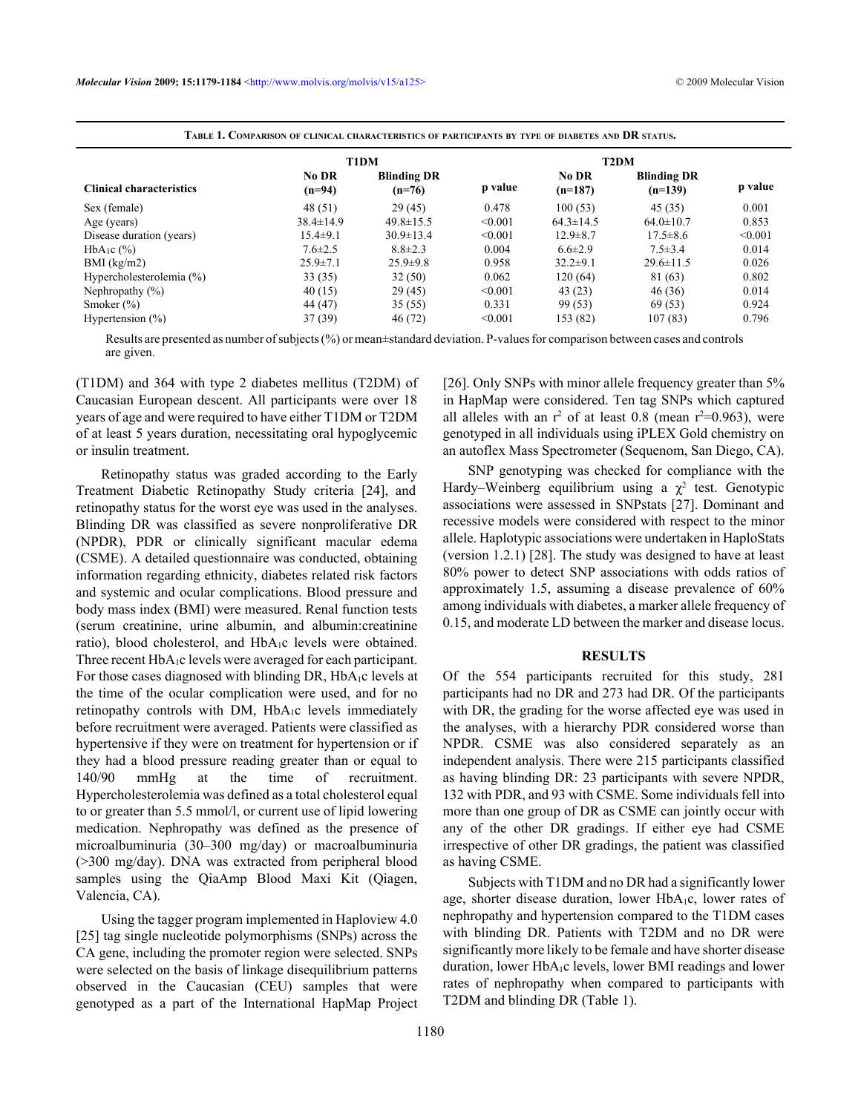|                                 | There it coultinum of crimein changement in a thinking of the changement of the comment of property in the change |                                |         |                    |                                 |         |
|---------------------------------|-------------------------------------------------------------------------------------------------------------------|--------------------------------|---------|--------------------|---------------------------------|---------|
|                                 |                                                                                                                   | <b>T1DM</b>                    |         |                    | T <sub>2</sub> DM               |         |
| <b>Clinical characteristics</b> | No DR<br>$(n=94)$                                                                                                 | <b>Blinding DR</b><br>$(n=76)$ | p value | No DR<br>$(n=187)$ | <b>Blinding DR</b><br>$(n=139)$ | p value |
| Sex (female)                    | 48(51)                                                                                                            | 29(45)                         | 0.478   | 100(53)            | 45(35)                          | 0.001   |
| Age (years)                     | $38.4 \pm 14.9$                                                                                                   | $49.8 \pm 15.5$                | < 0.001 | $64.3 \pm 14.5$    | $64.0 \pm 10.7$                 | 0.853   |
| Disease duration (years)        | $15.4 \pm 9.1$                                                                                                    | $30.9 \pm 13.4$                | < 0.001 | $12.9 \pm 8.7$     | $17.5 \pm 8.6$                  | < 0.001 |
| $HbA_1c$ $(\%)$                 | $7.6 \pm 2.5$                                                                                                     | $8.8 \pm 2.3$                  | 0.004   | $6.6 \pm 2.9$      | $7.5 \pm 3.4$                   | 0.014   |
| $BMI$ (kg/m2)                   | $25.9 \pm 7.1$                                                                                                    | $25.9 \pm 9.8$                 | 0.958   | $32.2 \pm 9.1$     | $29.6 \pm 11.5$                 | 0.026   |
| Hypercholesterolemia (%)        | 33 (35)                                                                                                           | 32(50)                         | 0.062   | 120(64)            | 81 (63)                         | 0.802   |
| Nephropathy $(\% )$             | 40(15)                                                                                                            | 29(45)                         | < 0.001 | 43(23)             | 46 (36)                         | 0.014   |
| Smoker $(\%)$                   | 44 (47)                                                                                                           | 35(55)                         | 0.331   | 99 (53)            | 69 (53)                         | 0.924   |
| Hypertension $(\% )$            | 37(39)                                                                                                            | 46 (72)                        | < 0.001 | 153(82)            | 107(83)                         | 0.796   |

**TABLE 1. COMPARISON OF CLINICAL CHARACTERISTICS OF PARTICIPANTS BY TYPE OF DIABETES AND DR STATUS.**

Results are presented as number of subjects (%) or mean±standard deviation. P-values for comparison between cases and controls are given.

(T1DM) and 364 with type 2 diabetes mellitus (T2DM) of Caucasian European descent. All participants were over 18 years of age and were required to have either T1DM or T2DM of at least 5 years duration, necessitating oral hypoglycemic or insulin treatment.

Retinopathy status was graded according to the Early Treatment Diabetic Retinopathy Study criteria [24], and retinopathy status for the worst eye was used in the analyses. Blinding DR was classified as severe nonproliferative DR (NPDR), PDR or clinically significant macular edema (CSME). A detailed questionnaire was conducted, obtaining information regarding ethnicity, diabetes related risk factors and systemic and ocular complications. Blood pressure and body mass index (BMI) were measured. Renal function tests (serum creatinine, urine albumin, and albumin:creatinine ratio), blood cholesterol, and HbA1c levels were obtained. Three recent HbA<sub>1</sub>c levels were averaged for each participant. For those cases diagnosed with blinding DR, HbA<sub>1</sub>c levels at the time of the ocular complication were used, and for no retinopathy controls with DM, HbA1c levels immediately before recruitment were averaged. Patients were classified as hypertensive if they were on treatment for hypertension or if they had a blood pressure reading greater than or equal to 140/90 mmHg at the time of recruitment. Hypercholesterolemia was defined as a total cholesterol equal to or greater than 5.5 mmol/l, or current use of lipid lowering medication. Nephropathy was defined as the presence of microalbuminuria (30–300 mg/day) or macroalbuminuria (>300 mg/day). DNA was extracted from peripheral blood samples using the QiaAmp Blood Maxi Kit (Qiagen, Valencia, CA).

Using the tagger program implemented in Haploview 4.0 [25] tag single nucleotide polymorphisms (SNPs) across the CA gene, including the promoter region were selected. SNPs were selected on the basis of linkage disequilibrium patterns observed in the Caucasian (CEU) samples that were genotyped as a part of the International HapMap Project [26]. Only SNPs with minor allele frequency greater than 5% in HapMap were considered. Ten tag SNPs which captured all alleles with an  $r^2$  of at least 0.8 (mean  $r^2=0.963$ ), were genotyped in all individuals using iPLEX Gold chemistry on an autoflex Mass Spectrometer (Sequenom, San Diego, CA).

SNP genotyping was checked for compliance with the Hardy–Weinberg equilibrium using a  $\chi^2$  test. Genotypic associations were assessed in SNPstats [27]. Dominant and recessive models were considered with respect to the minor allele. Haplotypic associations were undertaken in HaploStats (version 1.2.1) [28]. The study was designed to have at least 80% power to detect SNP associations with odds ratios of approximately 1.5, assuming a disease prevalence of 60% among individuals with diabetes, a marker allele frequency of 0.15, and moderate LD between the marker and disease locus.

### **RESULTS**

Of the 554 participants recruited for this study, 281 participants had no DR and 273 had DR. Of the participants with DR, the grading for the worse affected eye was used in the analyses, with a hierarchy PDR considered worse than NPDR. CSME was also considered separately as an independent analysis. There were 215 participants classified as having blinding DR: 23 participants with severe NPDR, 132 with PDR, and 93 with CSME. Some individuals fell into more than one group of DR as CSME can jointly occur with any of the other DR gradings. If either eye had CSME irrespective of other DR gradings, the patient was classified as having CSME.

Subjects with T1DM and no DR had a significantly lower age, shorter disease duration, lower HbA1c, lower rates of nephropathy and hypertension compared to the T1DM cases with blinding DR. Patients with T2DM and no DR were significantly more likely to be female and have shorter disease duration, lower HbA1c levels, lower BMI readings and lower rates of nephropathy when compared to participants with T2DM and blinding DR (Table 1).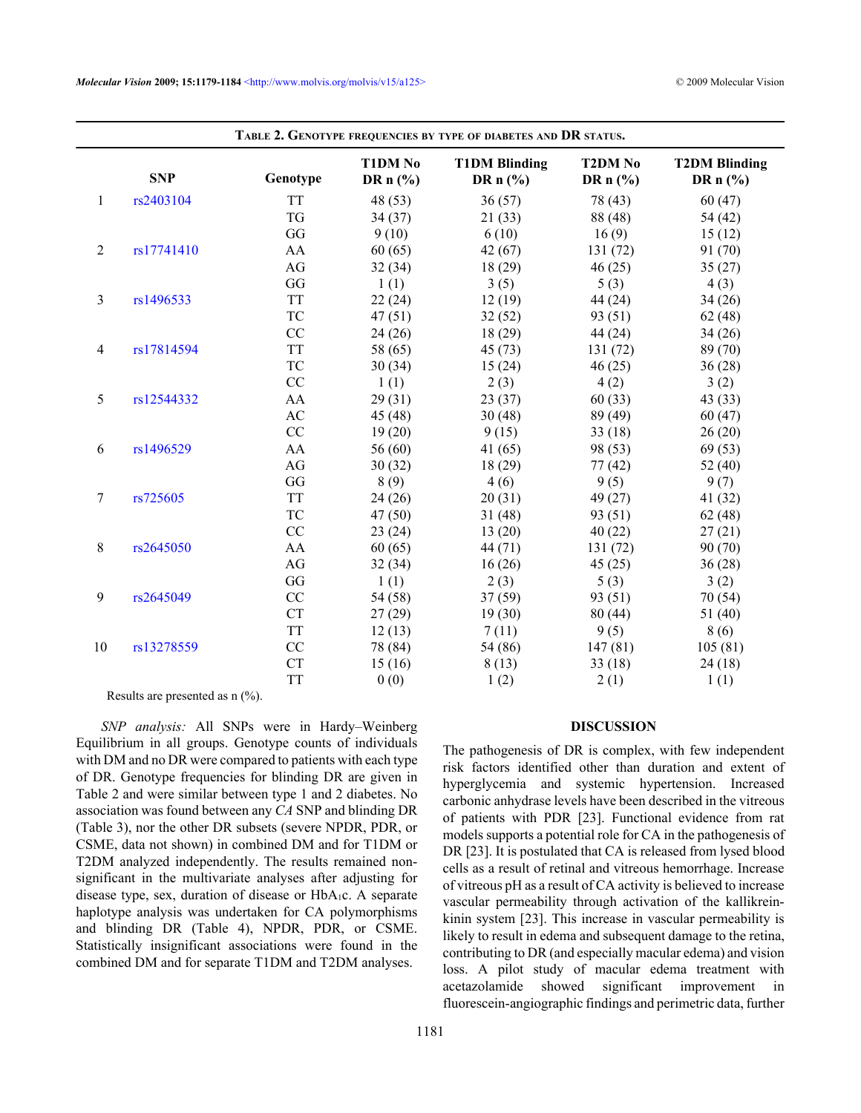|                | <b>SNP</b> | Genotype  | T1DM No<br>DR $n$ (%) | <b>T1DM Blinding</b><br>DR $n$ (%) | <b>T2DM No</b><br>DR $n$ (%) | <b>T2DM Blinding</b><br>DR $n$ (%) |
|----------------|------------|-----------|-----------------------|------------------------------------|------------------------------|------------------------------------|
| $\mathbf{1}$   | rs2403104  | <b>TT</b> | 48 (53)               | 36(57)                             | 78 (43)                      | 60(47)                             |
|                |            | TG        | 34(37)                | 21(33)                             | 88 (48)                      | 54 (42)                            |
|                |            | GG        | 9(10)                 | 6(10)                              | 16(9)                        | 15(12)                             |
| $\overline{2}$ | rs17741410 | AA        | 60(65)                | 42(67)                             | 131(72)                      | 91 (70)                            |
|                |            | AG        | 32(34)                | 18(29)                             | 46(25)                       | 35(27)                             |
|                |            | GG        | 1(1)                  | 3(5)                               | 5(3)                         | 4(3)                               |
| $\overline{3}$ | rs1496533  | <b>TT</b> | 22(24)                | 12(19)                             | 44 (24)                      | 34(26)                             |
|                |            | TC        | 47(51)                | 32(52)                             | 93 (51)                      | 62(48)                             |
|                |            | CC        | 24(26)                | 18(29)                             | 44 (24)                      | 34(26)                             |
| $\overline{4}$ | rs17814594 | <b>TT</b> | 58 (65)               | 45(73)                             | 131(72)                      | 89 (70)                            |
|                |            | TC        | 30(34)                | 15(24)                             | 46(25)                       | 36(28)                             |
|                |            | CC        | 1(1)                  | 2(3)                               | 4(2)                         | 3(2)                               |
| 5              | rs12544332 | AA        | 29(31)                | 23(37)                             | 60(33)                       | 43(33)                             |
|                |            | AC        | 45(48)                | 30(48)                             | 89 (49)                      | 60(47)                             |
|                |            | CC        | 19(20)                | 9(15)                              | 33(18)                       | 26(20)                             |
| 6              | rs1496529  | AA        | 56 $(60)$             | 41 $(65)$                          | 98 (53)                      | 69 (53)                            |
|                |            | AG        | 30(32)                | 18(29)                             | 77(42)                       | 52 $(40)$                          |
|                |            | GG        | 8(9)                  | 4(6)                               | 9(5)                         | 9(7)                               |
| $\overline{7}$ | rs725605   | <b>TT</b> | 24(26)                | 20(31)                             | 49(27)                       | 41(32)                             |
|                |            | TC        | 47 (50)               | 31(48)                             | 93 (51)                      | 62(48)                             |
|                |            | CC        | 23(24)                | 13(20)                             | 40(22)                       | 27(21)                             |
| $\,8\,$        | rs2645050  | AA        | 60(65)                | 44 (71)                            | 131(72)                      | 90(70)                             |
|                |            | AG        | 32(34)                | 16(26)                             | 45(25)                       | 36(28)                             |
|                |            | GG        | 1(1)                  | 2(3)                               | 5(3)                         | 3(2)                               |
| 9              | rs2645049  | CC        | 54 (58)               | 37(59)                             | 93 (51)                      | 70 (54)                            |
|                |            | <b>CT</b> | 27(29)                | 19(30)                             | 80(44)                       | 51 (40)                            |
|                |            | <b>TT</b> | 12(13)                | 7(11)                              | 9(5)                         | 8 (6)                              |
| $10\,$         | rs13278559 | CC        | 78 (84)               | 54 (86)                            | 147(81)                      | 105(81)                            |
|                |            | CT        | 15(16)                | 8(13)                              | 33(18)                       | 24(18)                             |
|                |            | <b>TT</b> | 0(0)                  | 1(2)                               | 2(1)                         | 1(1)                               |

Results are presented as n (%).

*SNP analysis:* All SNPs were in Hardy–Weinberg Equilibrium in all groups. Genotype counts of individuals with DM and no DR were compared to patients with each type of DR. Genotype frequencies for blinding DR are given in Table 2 and were similar between type 1 and 2 diabetes. No association was found between any *CA* SNP and blinding DR (Table 3), nor the other DR subsets (severe NPDR, PDR, or CSME, data not shown) in combined DM and for T1DM or T2DM analyzed independently. The results remained nonsignificant in the multivariate analyses after adjusting for disease type, sex, duration of disease or HbA<sub>1</sub>c. A separate haplotype analysis was undertaken for CA polymorphisms and blinding DR (Table 4), NPDR, PDR, or CSME. Statistically insignificant associations were found in the combined DM and for separate T1DM and T2DM analyses.

### **DISCUSSION**

The pathogenesis of DR is complex, with few independent risk factors identified other than duration and extent of hyperglycemia and systemic hypertension. Increased carbonic anhydrase levels have been described in the vitreous of patients with PDR [23]. Functional evidence from rat models supports a potential role for CA in the pathogenesis of DR [23]. It is postulated that CA is released from lysed blood cells as a result of retinal and vitreous hemorrhage. Increase of vitreous pH as a result of CA activity is believed to increase vascular permeability through activation of the kallikreinkinin system [23]. This increase in vascular permeability is likely to result in edema and subsequent damage to the retina, contributing to DR (and especially macular edema) and vision loss. A pilot study of macular edema treatment with acetazolamide showed significant improvement in fluorescein-angiographic findings and perimetric data, further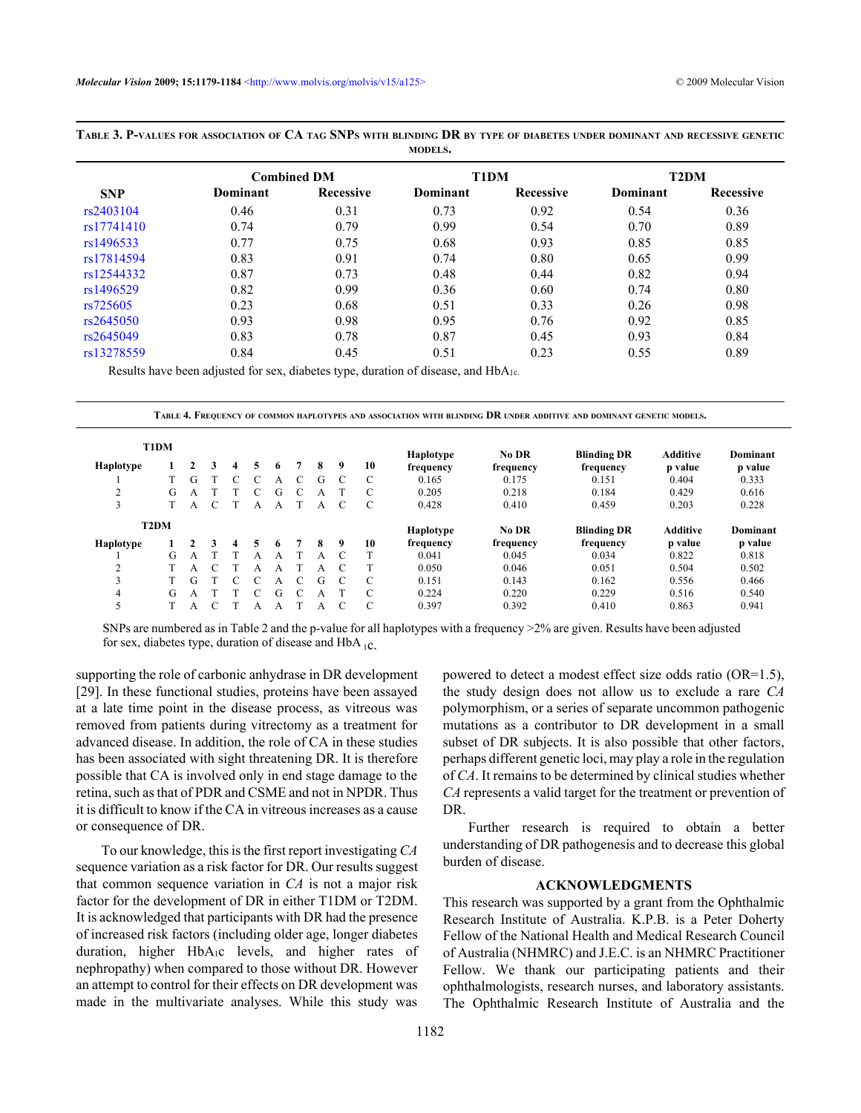|            |          |                    | <i></i>  |           |                   |                  |  |
|------------|----------|--------------------|----------|-----------|-------------------|------------------|--|
|            |          | <b>Combined DM</b> | T1DM     |           | T <sub>2</sub> DM |                  |  |
| <b>SNP</b> | Dominant | <b>Recessive</b>   | Dominant | Recessive | Dominant          | <b>Recessive</b> |  |
| rs2403104  | 0.46     | 0.31               | 0.73     | 0.92      | 0.54              | 0.36             |  |
| rs17741410 | 0.74     | 0.79               | 0.99     | 0.54      | 0.70              | 0.89             |  |
| rs1496533  | 0.77     | 0.75               | 0.68     | 0.93      | 0.85              | 0.85             |  |
| rs17814594 | 0.83     | 0.91               | 0.74     | 0.80      | 0.65              | 0.99             |  |
| rs12544332 | 0.87     | 0.73               | 0.48     | 0.44      | 0.82              | 0.94             |  |
| rs1496529  | 0.82     | 0.99               | 0.36     | 0.60      | 0.74              | 0.80             |  |
| rs725605   | 0.23     | 0.68               | 0.51     | 0.33      | 0.26              | 0.98             |  |
| rs2645050  | 0.93     | 0.98               | 0.95     | 0.76      | 0.92              | 0.85             |  |
| rs2645049  | 0.83     | 0.78               | 0.87     | 0.45      | 0.93              | 0.84             |  |
| rs13278559 | 0.84     | 0.45               | 0.51     | 0.23      | 0.55              | 0.89             |  |

**TABLE 3. P-VALUES FOR ASSOCIATION OF CA TAG SNPS WITH BLINDING DR BY TYPE OF DIABETES UNDER DOMINANT AND RECESSIVE GENETIC MODELS.**

Results have been adjusted for sex, diabetes type, duration of disease, and HbA<sub>1c</sub>.

**TABLE 4. FREQUENCY OF COMMON HAPLOTYPES AND ASSOCIATION WITH BLINDING DR UNDER ADDITIVE AND DOMINANT GENETIC MODELS.**

| T1DM              |   |   |   |   |   |   |           |    | Haplotype | No DR     | <b>Blinding DR</b> | <b>Additive</b> | Dominant |
|-------------------|---|---|---|---|---|---|-----------|----|-----------|-----------|--------------------|-----------------|----------|
| Haplotype         |   |   | Δ | 5 | 6 | 8 | 9         | 10 | frequency | frequency | frequency          | p value         | p value  |
|                   |   | G |   |   | А | G | C         | C  | 0.165     | 0.175     | 0.151              | 0.404           | 0.333    |
| ↑<br>∠            | G | А |   |   | G |   |           | C  | 0.205     | 0.218     | 0.184              | 0.429           | 0.616    |
| 3                 |   | А |   | А | А | А |           | C  | 0.428     | 0.410     | 0.459              | 0.203           | 0.228    |
| T <sub>2</sub> DM |   |   |   |   |   |   |           |    | Haplotype | No DR     | <b>Blinding DR</b> | <b>Additive</b> | Dominant |
|                   |   |   |   |   |   |   |           |    |           |           |                    |                 |          |
| Haplotype         |   |   |   |   | 6 | 8 | 9         | 10 | frequency | frequency | frequency          | p value         | p value  |
|                   | G | А |   | А |   | А | $\subset$ | т  | 0.041     | 0.045     | 0.034              | 0.822           | 0.818    |
| $\mathcal{L}$     |   | А |   | А | A | А |           | T  | 0.050     | 0.046     | 0.051              | 0.504           | 0.502    |
| 3                 |   | G |   |   | А | G | $\Gamma$  | C  | 0.151     | 0.143     | 0.162              | 0.556           | 0.466    |
| 4                 | G | А |   |   | G |   |           | C  | 0.224     | 0.220     | 0.229              | 0.516           | 0.540    |

SNPs are numbered as in Table 2 and the p-value for all haplotypes with a frequency >2% are given. Results have been adjusted for sex, diabetes type, duration of disease and HbA  $_{1C}$ .

supporting the role of carbonic anhydrase in DR development [29]. In these functional studies, proteins have been assayed at a late time point in the disease process, as vitreous was removed from patients during vitrectomy as a treatment for advanced disease. In addition, the role of CA in these studies has been associated with sight threatening DR. It is therefore possible that CA is involved only in end stage damage to the retina, such as that of PDR and CSME and not in NPDR. Thus it is difficult to know if the CA in vitreousincreases as a cause or consequence of DR.

To our knowledge, this is the first report investigating *CA* sequence variation as a risk factor for DR. Our results suggest that common sequence variation in *CA* is not a major risk factor for the development of DR in either T1DM or T2DM. It is acknowledged that participants with DR had the presence of increased risk factors (including older age, longer diabetes duration, higher HbA1c levels, and higher rates of nephropathy) when compared to those without DR. However an attempt to control for their effects on DR development was made in the multivariate analyses. While this study was powered to detect a modest effect size odds ratio (OR=1.5), the study design does not allow us to exclude a rare *CA* polymorphism, or a series of separate uncommon pathogenic mutations as a contributor to DR development in a small subset of DR subjects. It is also possible that other factors, perhaps different genetic loci, may play a role in the regulation of *CA*. It remains to be determined by clinical studies whether *CA* represents a valid target for the treatment or prevention of DR.

Further research is required to obtain a better understanding of DR pathogenesis and to decrease this global burden of disease.

### **ACKNOWLEDGMENTS**

This research was supported by a grant from the Ophthalmic Research Institute of Australia. K.P.B. is a Peter Doherty Fellow of the National Health and Medical Research Council of Australia (NHMRC) and J.E.C. is an NHMRC Practitioner Fellow. We thank our participating patients and their ophthalmologists, research nurses, and laboratory assistants. The Ophthalmic Research Institute of Australia and the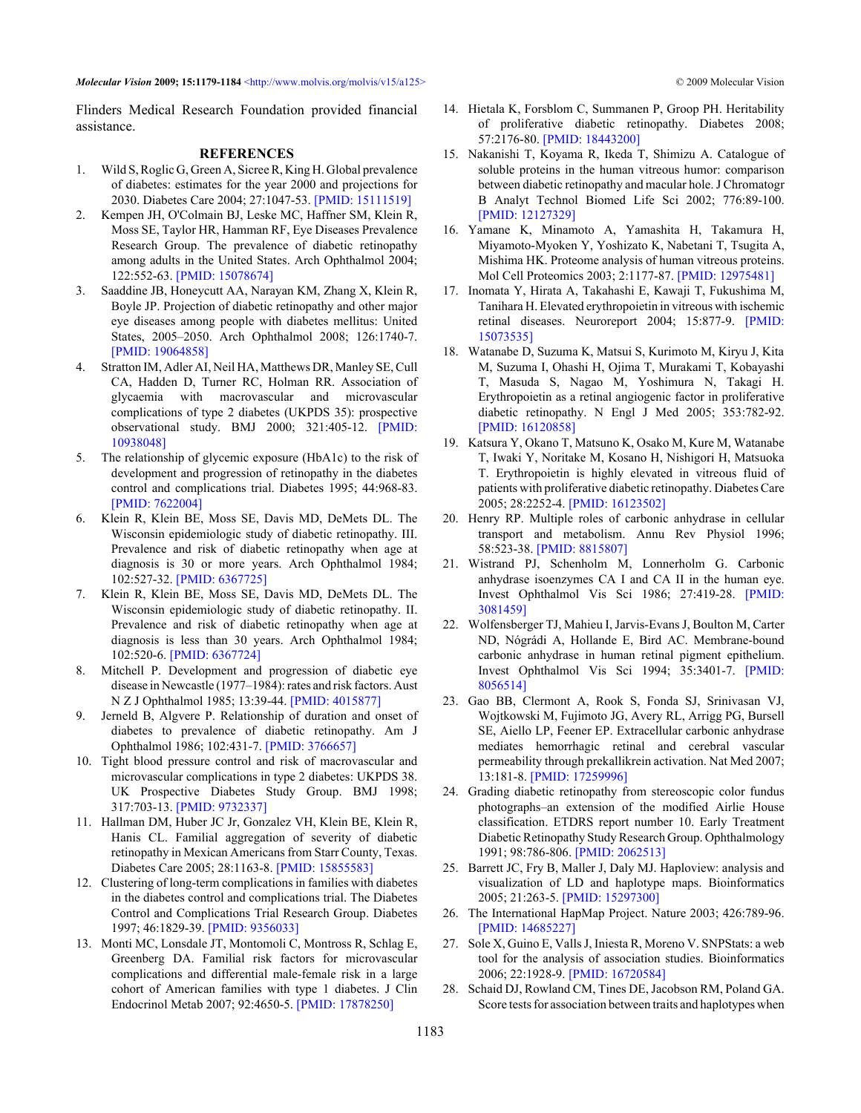*Molecular Vision* **2009; 15:1179-1184** [<http://www.molvis.org/molvis/v15/a125>](http://www.molvis.org/molvis/v15/a125) © 2009 Molecular Vision

Flinders Medical Research Foundation provided financial assistance.

## **REFERENCES**

- 1. Wild S, Roglic G, Green A, Sicree R, King H. Global prevalence of diabetes: estimates for the year 2000 and projections for 2030. Diabetes Care 2004; 27:1047-53[. \[PMID: 15111519\]](http://www.ncbi.nlm.nih.gov/entrez/query.fcgi?cmd=Retrieve&db=PubMed&dopt=abstract&list_uids=15111519)
- 2. Kempen JH, O'Colmain BJ, Leske MC, Haffner SM, Klein R, Moss SE, Taylor HR, Hamman RF, Eye Diseases Prevalence Research Group. The prevalence of diabetic retinopathy among adults in the United States. Arch Ophthalmol 2004; 122:552-63. [\[PMID: 15078674\]](http://www.ncbi.nlm.nih.gov/entrez/query.fcgi?cmd=Retrieve&db=PubMed&dopt=abstract&list_uids=15078674)
- 3. Saaddine JB, Honeycutt AA, Narayan KM, Zhang X, Klein R, Boyle JP. Projection of diabetic retinopathy and other major eye diseases among people with diabetes mellitus: United States, 2005–2050. Arch Ophthalmol 2008; 126:1740-7. [\[PMID: 19064858\]](http://www.ncbi.nlm.nih.gov/entrez/query.fcgi?cmd=Retrieve&db=PubMed&dopt=abstract&list_uids=19064858)
- 4. Stratton IM, Adler AI, Neil HA, Matthews DR, Manley SE, Cull CA, Hadden D, Turner RC, Holman RR. Association of glycaemia with macrovascular and microvascular complications of type 2 diabetes (UKPDS 35): prospective observational study. BMJ 2000; 321:405-12[. \[PMID:](http://www.ncbi.nlm.nih.gov/entrez/query.fcgi?cmd=Retrieve&db=PubMed&dopt=abstract&list_uids=10938048) [10938048\]](http://www.ncbi.nlm.nih.gov/entrez/query.fcgi?cmd=Retrieve&db=PubMed&dopt=abstract&list_uids=10938048)
- 5. The relationship of glycemic exposure (HbA1c) to the risk of development and progression of retinopathy in the diabetes control and complications trial. Diabetes 1995; 44:968-83. [\[PMID: 7622004\]](http://www.ncbi.nlm.nih.gov/entrez/query.fcgi?cmd=Retrieve&db=PubMed&dopt=abstract&list_uids=7622004)
- 6. Klein R, Klein BE, Moss SE, Davis MD, DeMets DL. The Wisconsin epidemiologic study of diabetic retinopathy. III. Prevalence and risk of diabetic retinopathy when age at diagnosis is 30 or more years. Arch Ophthalmol 1984; 102:527-32. [\[PMID: 6367725\]](http://www.ncbi.nlm.nih.gov/entrez/query.fcgi?cmd=Retrieve&db=PubMed&dopt=abstract&list_uids=6367725)
- 7. Klein R, Klein BE, Moss SE, Davis MD, DeMets DL. The Wisconsin epidemiologic study of diabetic retinopathy. II. Prevalence and risk of diabetic retinopathy when age at diagnosis is less than 30 years. Arch Ophthalmol 1984; 102:520-6[. \[PMID: 6367724\]](http://www.ncbi.nlm.nih.gov/entrez/query.fcgi?cmd=Retrieve&db=PubMed&dopt=abstract&list_uids=6367724)
- 8. Mitchell P. Development and progression of diabetic eye disease in Newcastle (1977–1984): rates and risk factors. Aust N Z J Ophthalmol 1985; 13:39-44[. \[PMID: 4015877\]](http://www.ncbi.nlm.nih.gov/entrez/query.fcgi?cmd=Retrieve&db=PubMed&dopt=abstract&list_uids=4015877)
- 9. Jerneld B, Algvere P. Relationship of duration and onset of diabetes to prevalence of diabetic retinopathy. Am J Ophthalmol 1986; 102:431-7[. \[PMID: 3766657\]](http://www.ncbi.nlm.nih.gov/entrez/query.fcgi?cmd=Retrieve&db=PubMed&dopt=abstract&list_uids=3766657)
- 10. Tight blood pressure control and risk of macrovascular and microvascular complications in type 2 diabetes: UKPDS 38. UK Prospective Diabetes Study Group. BMJ 1998; 317:703-13. [\[PMID: 9732337\]](http://www.ncbi.nlm.nih.gov/entrez/query.fcgi?cmd=Retrieve&db=PubMed&dopt=abstract&list_uids=9732337)
- 11. Hallman DM, Huber JC Jr, Gonzalez VH, Klein BE, Klein R, Hanis CL. Familial aggregation of severity of diabetic retinopathy in Mexican Americans from Starr County, Texas. Diabetes Care 2005; 28:1163-8[. \[PMID: 15855583\]](http://www.ncbi.nlm.nih.gov/entrez/query.fcgi?cmd=Retrieve&db=PubMed&dopt=abstract&list_uids=15855583)
- 12. Clustering of long-term complications in families with diabetes in the diabetes control and complications trial. The Diabetes Control and Complications Trial Research Group. Diabetes 1997; 46:1829-39. [\[PMID: 9356033\]](http://www.ncbi.nlm.nih.gov/entrez/query.fcgi?cmd=Retrieve&db=PubMed&dopt=abstract&list_uids=9356033)
- 13. Monti MC, Lonsdale JT, Montomoli C, Montross R, Schlag E, Greenberg DA. Familial risk factors for microvascular complications and differential male-female risk in a large cohort of American families with type 1 diabetes. J Clin Endocrinol Metab 2007; 92:4650-5. [\[PMID: 17878250\]](http://www.ncbi.nlm.nih.gov/entrez/query.fcgi?cmd=Retrieve&db=PubMed&dopt=abstract&list_uids=17878250)
- 14. Hietala K, Forsblom C, Summanen P, Groop PH. Heritability of proliferative diabetic retinopathy. Diabetes 2008; 57:2176-80. [\[PMID: 18443200\]](http://www.ncbi.nlm.nih.gov/entrez/query.fcgi?cmd=Retrieve&db=PubMed&dopt=abstract&list_uids=18443200)
- 15. Nakanishi T, Koyama R, Ikeda T, Shimizu A. Catalogue of soluble proteins in the human vitreous humor: comparison between diabetic retinopathy and macular hole. J Chromatogr B Analyt Technol Biomed Life Sci 2002; 776:89-100. [\[PMID: 12127329\]](http://www.ncbi.nlm.nih.gov/entrez/query.fcgi?cmd=Retrieve&db=PubMed&dopt=abstract&list_uids=12127329)
- 16. Yamane K, Minamoto A, Yamashita H, Takamura H, Miyamoto-Myoken Y, Yoshizato K, Nabetani T, Tsugita A, Mishima HK. Proteome analysis of human vitreous proteins. Mol Cell Proteomics 2003; 2:1177-87[. \[PMID: 12975481\]](http://www.ncbi.nlm.nih.gov/entrez/query.fcgi?cmd=Retrieve&db=PubMed&dopt=abstract&list_uids=12975481)
- 17. Inomata Y, Hirata A, Takahashi E, Kawaji T, Fukushima M, Tanihara H. Elevated erythropoietin in vitreous with ischemic retinal diseases. Neuroreport 2004; 15:877-9. [\[PMID:](http://www.ncbi.nlm.nih.gov/entrez/query.fcgi?cmd=Retrieve&db=PubMed&dopt=abstract&list_uids=15073535) [15073535\]](http://www.ncbi.nlm.nih.gov/entrez/query.fcgi?cmd=Retrieve&db=PubMed&dopt=abstract&list_uids=15073535)
- 18. Watanabe D, Suzuma K, Matsui S, Kurimoto M, Kiryu J, Kita M, Suzuma I, Ohashi H, Ojima T, Murakami T, Kobayashi T, Masuda S, Nagao M, Yoshimura N, Takagi H. Erythropoietin as a retinal angiogenic factor in proliferative diabetic retinopathy. N Engl J Med 2005; 353:782-92. [\[PMID: 16120858\]](http://www.ncbi.nlm.nih.gov/entrez/query.fcgi?cmd=Retrieve&db=PubMed&dopt=abstract&list_uids=16120858)
- 19. Katsura Y, Okano T, Matsuno K, Osako M, Kure M, Watanabe T, Iwaki Y, Noritake M, Kosano H, Nishigori H, Matsuoka T. Erythropoietin is highly elevated in vitreous fluid of patients with proliferative diabetic retinopathy. Diabetes Care 2005; 28:2252-4[. \[PMID: 16123502\]](http://www.ncbi.nlm.nih.gov/entrez/query.fcgi?cmd=Retrieve&db=PubMed&dopt=abstract&list_uids=16123502)
- 20. Henry RP. Multiple roles of carbonic anhydrase in cellular transport and metabolism. Annu Rev Physiol 1996; 58:523-38[. \[PMID: 8815807\]](http://www.ncbi.nlm.nih.gov/entrez/query.fcgi?cmd=Retrieve&db=PubMed&dopt=abstract&list_uids=8815807)
- 21. Wistrand PJ, Schenholm M, Lonnerholm G. Carbonic anhydrase isoenzymes CA I and CA II in the human eye. Invest Ophthalmol Vis Sci 1986; 27:419-28[. \[PMID:](http://www.ncbi.nlm.nih.gov/entrez/query.fcgi?cmd=Retrieve&db=PubMed&dopt=abstract&list_uids=3081459) [3081459\]](http://www.ncbi.nlm.nih.gov/entrez/query.fcgi?cmd=Retrieve&db=PubMed&dopt=abstract&list_uids=3081459)
- 22. Wolfensberger TJ, Mahieu I, Jarvis-Evans J, Boulton M, Carter ND, Nógrádi A, Hollande E, Bird AC. Membrane-bound carbonic anhydrase in human retinal pigment epithelium. Invest Ophthalmol Vis Sci 1994; 35:3401-7[. \[PMID:](http://www.ncbi.nlm.nih.gov/entrez/query.fcgi?cmd=Retrieve&db=PubMed&dopt=abstract&list_uids=8056514) [8056514\]](http://www.ncbi.nlm.nih.gov/entrez/query.fcgi?cmd=Retrieve&db=PubMed&dopt=abstract&list_uids=8056514)
- 23. Gao BB, Clermont A, Rook S, Fonda SJ, Srinivasan VJ, Wojtkowski M, Fujimoto JG, Avery RL, Arrigg PG, Bursell SE, Aiello LP, Feener EP. Extracellular carbonic anhydrase mediates hemorrhagic retinal and cerebral vascular permeability through prekallikrein activation. Nat Med 2007; 13:181-8. [\[PMID: 17259996\]](http://www.ncbi.nlm.nih.gov/entrez/query.fcgi?cmd=Retrieve&db=PubMed&dopt=abstract&list_uids=17259996)
- 24. Grading diabetic retinopathy from stereoscopic color fundus photographs–an extension of the modified Airlie House classification. ETDRS report number 10. Early Treatment Diabetic Retinopathy Study Research Group. Ophthalmology 1991; 98:786-806. [\[PMID: 2062513\]](http://www.ncbi.nlm.nih.gov/entrez/query.fcgi?cmd=Retrieve&db=PubMed&dopt=abstract&list_uids=2062513)
- 25. Barrett JC, Fry B, Maller J, Daly MJ. Haploview: analysis and visualization of LD and haplotype maps. Bioinformatics 2005; 21:263-5. [\[PMID: 15297300\]](http://www.ncbi.nlm.nih.gov/entrez/query.fcgi?cmd=Retrieve&db=PubMed&dopt=abstract&list_uids=15297300)
- 26. The International HapMap Project. Nature 2003; 426:789-96. [\[PMID: 14685227\]](http://www.ncbi.nlm.nih.gov/entrez/query.fcgi?cmd=Retrieve&db=PubMed&dopt=abstract&list_uids=14685227)
- 27. Sole X, Guino E, Valls J, Iniesta R, Moreno V. SNPStats: a web tool for the analysis of association studies. Bioinformatics 2006; 22:1928-9[. \[PMID: 16720584\]](http://www.ncbi.nlm.nih.gov/entrez/query.fcgi?cmd=Retrieve&db=PubMed&dopt=abstract&list_uids=16720584)
- 28. Schaid DJ, Rowland CM, Tines DE, Jacobson RM, Poland GA. Score tests for association between traits and haplotypes when